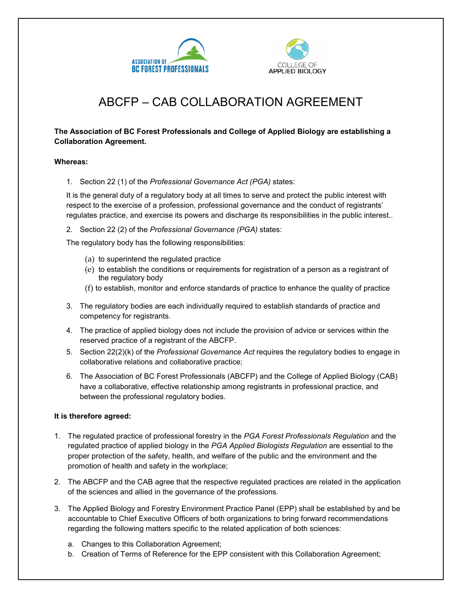



## ABCFP – CAB COLLABORATION AGREEMENT

## **The Association of BC Forest Professionals and College of Applied Biology are establishing a Collaboration Agreement.**

## **Whereas:**

1. Section 22 (1) of the *Professional Governance Act (PGA)* states:

It is the general duty of a regulatory body at all times to serve and protect the public interest with respect to the exercise of a profession, professional governance and the conduct of registrants' regulates practice, and exercise its powers and discharge its responsibilities in the public interest..

2. Section 22 (2) of the *Professional Governance (PGA)* states:

The regulatory body has the following responsibilities:

- (a) to superintend the regulated practice
- (e) to establish the conditions or requirements for registration of a person as a registrant of the regulatory body
- (f) to establish, monitor and enforce standards of practice to enhance the quality of practice
- 3. The regulatory bodies are each individually required to establish standards of practice and competency for registrants.
- 4. The practice of applied biology does not include the provision of advice or services within the reserved practice of a registrant of the ABCFP.
- 5. Section 22(2)(k) of the *Professional Governance Act* requires the regulatory bodies to engage in collaborative relations and collaborative practice;
- 6. The Association of BC Forest Professionals (ABCFP) and the College of Applied Biology (CAB) have a collaborative, effective relationship among registrants in professional practice, and between the professional regulatory bodies.

## **It is therefore agreed:**

- 1. The regulated practice of professional forestry in the *PGA Forest Professionals Regulation* and the regulated practice of applied biology in the *PGA Applied Biologists Regulation* are essential to the proper protection of the safety, health, and welfare of the public and the environment and the promotion of health and safety in the workplace;
- 2. The ABCFP and the CAB agree that the respective regulated practices are related in the application of the sciences and allied in the governance of the professions.
- 3. The Applied Biology and Forestry Environment Practice Panel (EPP) shall be established by and be accountable to Chief Executive Officers of both organizations to bring forward recommendations regarding the following matters specific to the related application of both sciences:
	- a. Changes to this Collaboration Agreement;
	- b. Creation of Terms of Reference for the EPP consistent with this Collaboration Agreement;